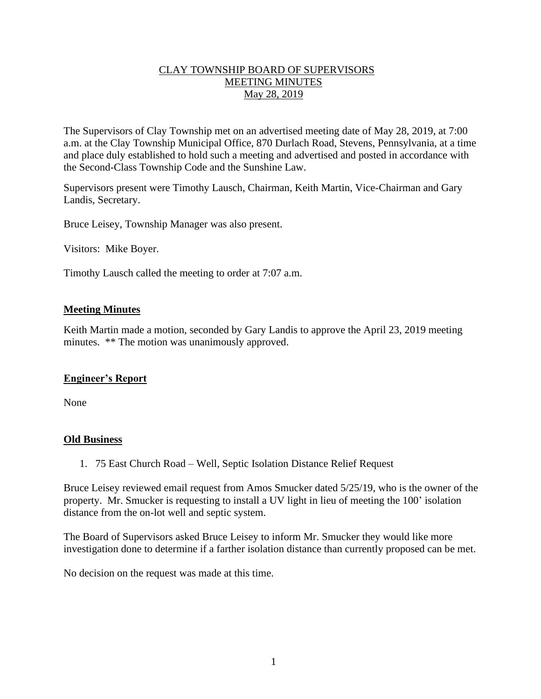# CLAY TOWNSHIP BOARD OF SUPERVISORS MEETING MINUTES May 28, 2019

The Supervisors of Clay Township met on an advertised meeting date of May 28, 2019, at 7:00 a.m. at the Clay Township Municipal Office, 870 Durlach Road, Stevens, Pennsylvania, at a time and place duly established to hold such a meeting and advertised and posted in accordance with the Second-Class Township Code and the Sunshine Law.

Supervisors present were Timothy Lausch, Chairman, Keith Martin, Vice-Chairman and Gary Landis, Secretary.

Bruce Leisey, Township Manager was also present.

Visitors: Mike Boyer.

Timothy Lausch called the meeting to order at 7:07 a.m.

## **Meeting Minutes**

Keith Martin made a motion, seconded by Gary Landis to approve the April 23, 2019 meeting minutes. \*\* The motion was unanimously approved.

# **Engineer's Report**

None

#### **Old Business**

1. 75 East Church Road – Well, Septic Isolation Distance Relief Request

Bruce Leisey reviewed email request from Amos Smucker dated 5/25/19, who is the owner of the property. Mr. Smucker is requesting to install a UV light in lieu of meeting the 100' isolation distance from the on-lot well and septic system.

The Board of Supervisors asked Bruce Leisey to inform Mr. Smucker they would like more investigation done to determine if a farther isolation distance than currently proposed can be met.

No decision on the request was made at this time.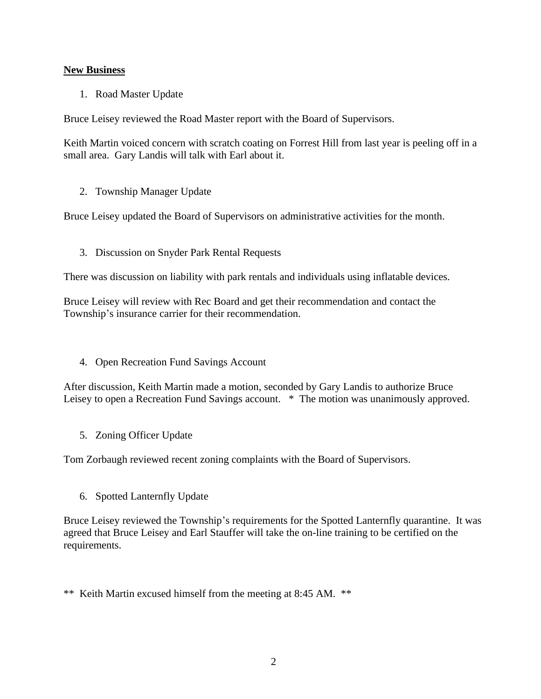# **New Business**

1. Road Master Update

Bruce Leisey reviewed the Road Master report with the Board of Supervisors.

Keith Martin voiced concern with scratch coating on Forrest Hill from last year is peeling off in a small area. Gary Landis will talk with Earl about it.

2. Township Manager Update

Bruce Leisey updated the Board of Supervisors on administrative activities for the month.

3. Discussion on Snyder Park Rental Requests

There was discussion on liability with park rentals and individuals using inflatable devices.

Bruce Leisey will review with Rec Board and get their recommendation and contact the Township's insurance carrier for their recommendation.

4. Open Recreation Fund Savings Account

After discussion, Keith Martin made a motion, seconded by Gary Landis to authorize Bruce Leisey to open a Recreation Fund Savings account. \* The motion was unanimously approved.

5. Zoning Officer Update

Tom Zorbaugh reviewed recent zoning complaints with the Board of Supervisors.

6. Spotted Lanternfly Update

Bruce Leisey reviewed the Township's requirements for the Spotted Lanternfly quarantine. It was agreed that Bruce Leisey and Earl Stauffer will take the on-line training to be certified on the requirements.

\*\* Keith Martin excused himself from the meeting at 8:45 AM. \*\*